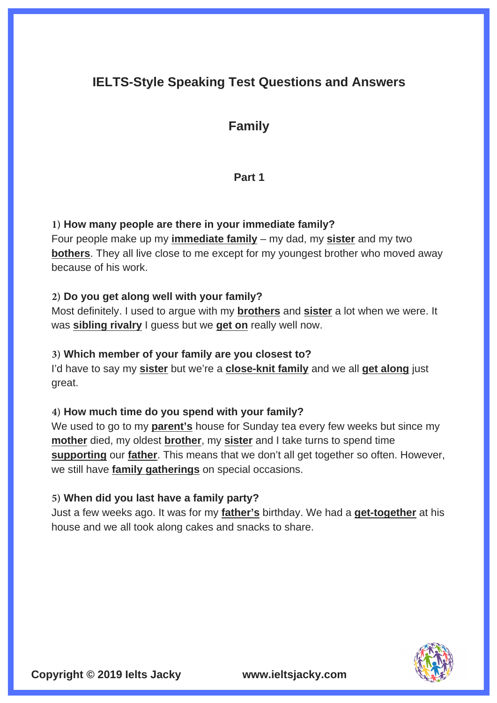# **IELTS-Style Speaking Test Questions and Answers**

## **Family**

## **Part 1**

### **1) How many people are there in your immediate family?**

Four people make up my **immediate family** – my dad, my **sister** and my two **bothers**. They all live close to me except for my youngest brother who moved away because of his work.

### **2) Do you get along well with your family?**

Most definitely. I used to argue with my **brothers** and **sister** a lot when we were. It was **sibling rivalry** I guess but we **get on** really well now.

#### **3) Which member of your family are you closest to?**

I'd have to say my **sister** but we're a **close-knit family** and we all **get along** just great.

## **4) How much time do you spend with your family?**

We used to go to my **parent's** house for Sunday tea every few weeks but since my **mother** died, my oldest **brother**, my **sister** and I take turns to spend time **supporting** our **father**. This means that we don't all get together so often. However, we still have **family gatherings** on special occasions.

#### **5) When did you last have a family party?**

Just a few weeks ago. It was for my **father's** birthday. We had a **get-together** at his house and we all took along cakes and snacks to share.

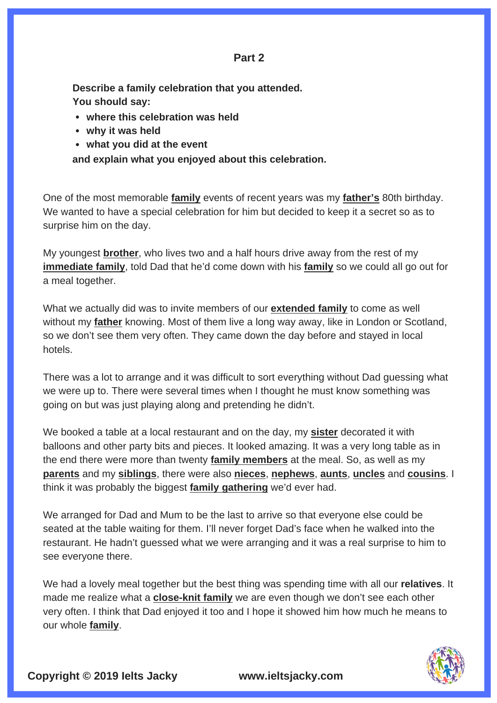#### **Part 2**

**Describe a family celebration that you attended. You should say:**

- **where this celebration was held**
- **why it was held**
- **what you did at the event**

**and explain what you enjoyed about this celebration.** 

One of the most memorable **family** events of recent years was my **father's** 80th birthday. We wanted to have a special celebration for him but decided to keep it a secret so as to surprise him on the day.

My youngest **brother**, who lives two and a half hours drive away from the rest of my **immediate family**, told Dad that he'd come down with his **family** so we could all go out for a meal together.

What we actually did was to invite members of our **extended family** to come as well without my **father** knowing. Most of them live a long way away, like in London or Scotland, so we don't see them very often. They came down the day before and stayed in local hotels.

There was a lot to arrange and it was difficult to sort everything without Dad guessing what we were up to. There were several times when I thought he must know something was going on but was just playing along and pretending he didn't.

We booked a table at a local restaurant and on the day, my **sister** decorated it with balloons and other party bits and pieces. It looked amazing. It was a very long table as in the end there were more than twenty **family members** at the meal. So, as well as my **parents** and my **siblings**, there were also **nieces**, **nephews**, **aunts**, **uncles** and **cousins**. I think it was probably the biggest **family gathering** we'd ever had.

We arranged for Dad and Mum to be the last to arrive so that everyone else could be seated at the table waiting for them. I'll never forget Dad's face when he walked into the restaurant. He hadn't guessed what we were arranging and it was a real surprise to him to see everyone there.

We had a lovely meal together but the best thing was spending time with all our **relatives**. It made me realize what a **close-knit family** we are even though we don't see each other very often. I think that Dad enjoyed it too and I hope it showed him how much he means to our whole **family**.



**Copyright © 2019 Ielts Jacky www.ieltsjacky.com**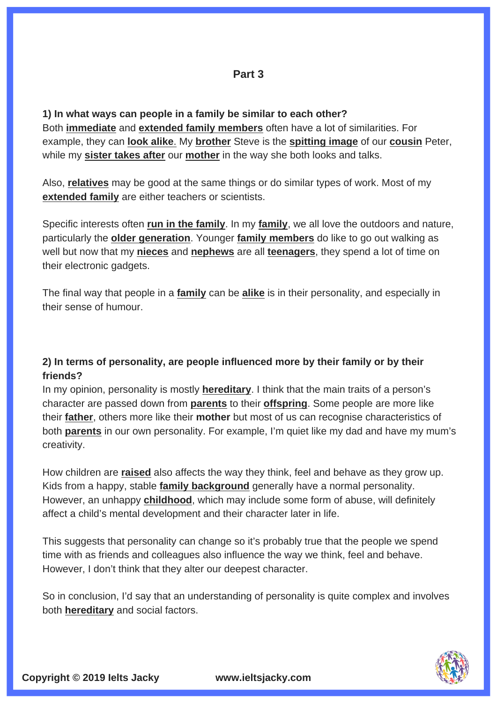**1) In what ways can people in a family be similar to each other?** Both **immediate** and **extended family members** often have a lot of similarities. For example, they can **look alike**. My **brother** Steve is the **spitting image** of our **cousin** Peter, while my **sister takes after** our **mother** in the way she both looks and talks.

Also, **relatives** may be good at the same things or do similar types of work. Most of my **extended family** are either teachers or scientists.

Specific interests often **run in the family**. In my **family**, we all love the outdoors and nature, particularly the **older generation**. Younger **family members** do like to go out walking as well but now that my **nieces** and **nephews** are all **teenagers**, they spend a lot of time on their electronic gadgets.

The final way that people in a **family** can be **alike** is in their personality, and especially in their sense of humour.

## **2) In terms of personality, are people influenced more by their family or by their friends?**

In my opinion, personality is mostly **hereditary**. I think that the main traits of a person's character are passed down from **parents** to their **offspring**. Some people are more like their **father**, others more like their **mother** but most of us can recognise characteristics of both **parents** in our own personality. For example, I'm quiet like my dad and have my mum's creativity.

How children are **raised** also affects the way they think, feel and behave as they grow up. Kids from a happy, stable **family background** generally have a normal personality. However, an unhappy **childhood**, which may include some form of abuse, will definitely affect a child's mental development and their character later in life.

This suggests that personality can change so it's probably true that the people we spend time with as friends and colleagues also influence the way we think, feel and behave. However, I don't think that they alter our deepest character.

So in conclusion, I'd say that an understanding of personality is quite complex and involves both **hereditary** and social factors.